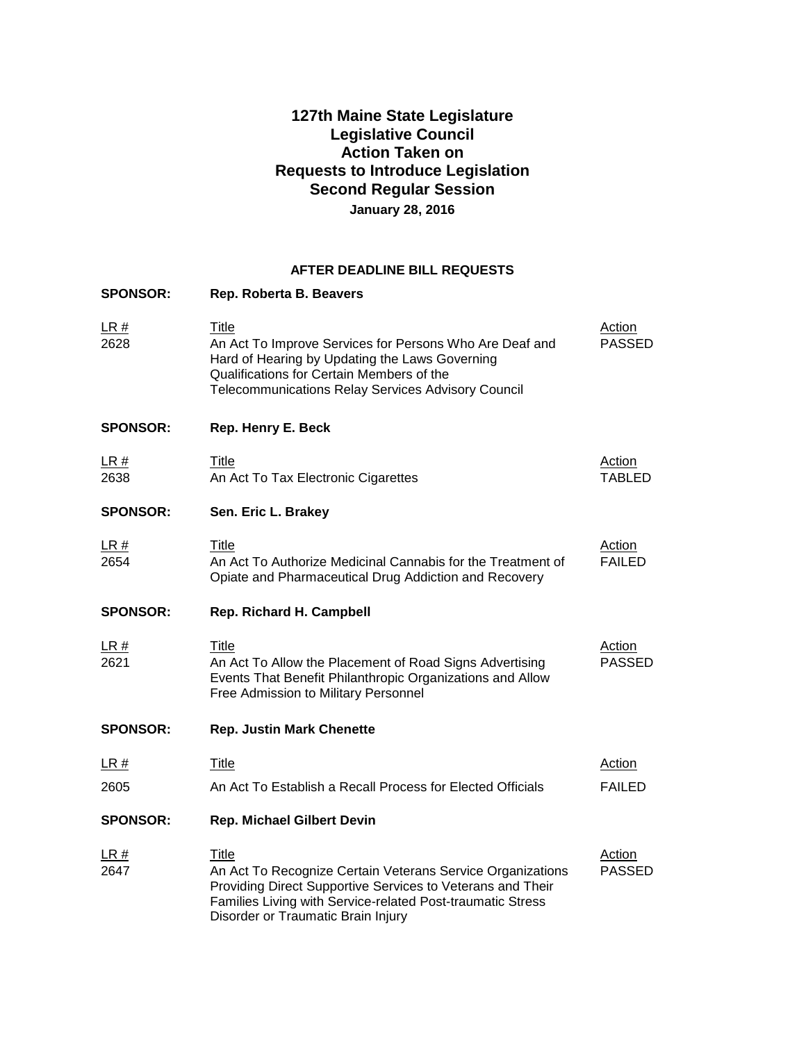# **127th Maine State Legislature Legislative Council Action Taken on Requests to Introduce Legislation Second Regular Session January 28, 2016**

#### **AFTER DEADLINE BILL REQUESTS**

| <b>SPONSOR:</b> | Rep. Roberta B. Beavers                                                                                                                                                                                                               |                                |
|-----------------|---------------------------------------------------------------------------------------------------------------------------------------------------------------------------------------------------------------------------------------|--------------------------------|
| LR#<br>2628     | Title<br>An Act To Improve Services for Persons Who Are Deaf and<br>Hard of Hearing by Updating the Laws Governing<br>Qualifications for Certain Members of the<br><b>Telecommunications Relay Services Advisory Council</b>          | <b>Action</b><br><b>PASSED</b> |
| <b>SPONSOR:</b> | Rep. Henry E. Beck                                                                                                                                                                                                                    |                                |
| LR#<br>2638     | <b>Title</b><br>An Act To Tax Electronic Cigarettes                                                                                                                                                                                   | <b>Action</b><br><b>TABLED</b> |
| <b>SPONSOR:</b> | Sen. Eric L. Brakey                                                                                                                                                                                                                   |                                |
| LR#<br>2654     | Title<br>An Act To Authorize Medicinal Cannabis for the Treatment of<br>Opiate and Pharmaceutical Drug Addiction and Recovery                                                                                                         | <b>Action</b><br><b>FAILED</b> |
| <b>SPONSOR:</b> | <b>Rep. Richard H. Campbell</b>                                                                                                                                                                                                       |                                |
| LR#<br>2621     | <b>Title</b><br>An Act To Allow the Placement of Road Signs Advertising<br>Events That Benefit Philanthropic Organizations and Allow<br>Free Admission to Military Personnel                                                          | <b>Action</b><br><b>PASSED</b> |
| <b>SPONSOR:</b> | <b>Rep. Justin Mark Chenette</b>                                                                                                                                                                                                      |                                |
| LR#             | Title                                                                                                                                                                                                                                 | <b>Action</b>                  |
| 2605            | An Act To Establish a Recall Process for Elected Officials                                                                                                                                                                            | <b>FAILED</b>                  |
| <b>SPONSOR:</b> | <b>Rep. Michael Gilbert Devin</b>                                                                                                                                                                                                     |                                |
| LR#<br>2647     | Title<br>An Act To Recognize Certain Veterans Service Organizations<br>Providing Direct Supportive Services to Veterans and Their<br>Families Living with Service-related Post-traumatic Stress<br>Disorder or Traumatic Brain Injury | <b>Action</b><br><b>PASSED</b> |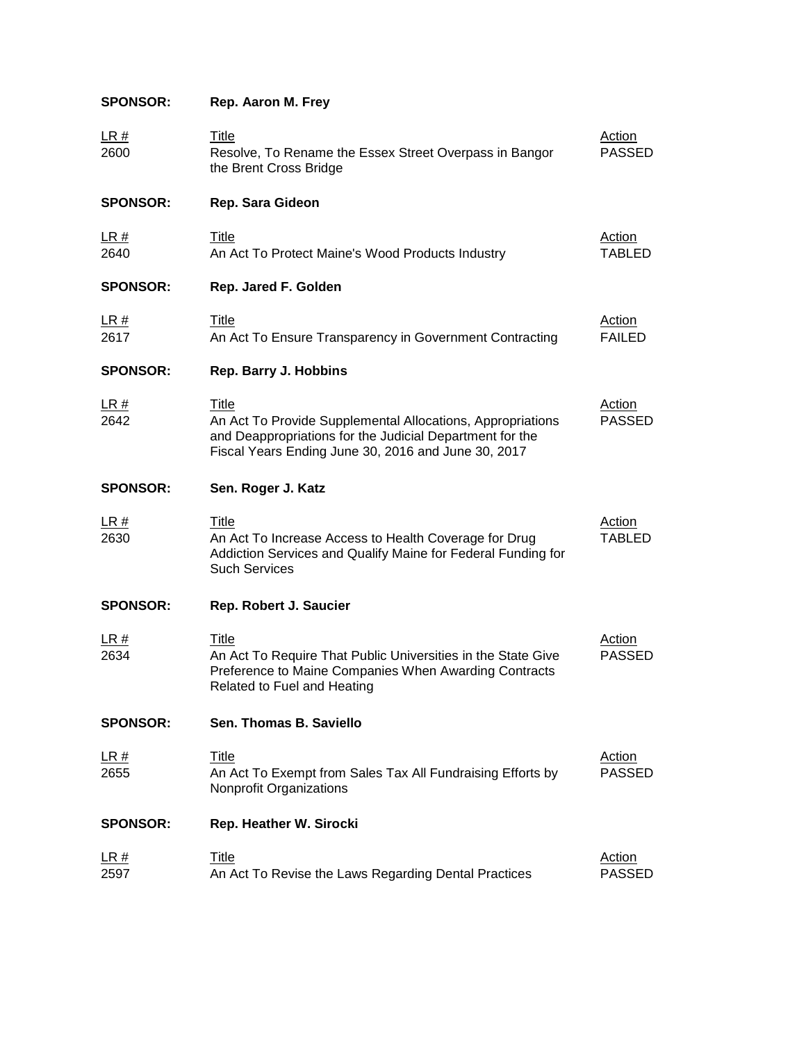# **SPONSOR: Rep. Aaron M. Frey**

| LR#<br>2600         | Title<br>Resolve, To Rename the Essex Street Overpass in Bangor<br>the Brent Cross Bridge                                                                                              | Action<br><b>PASSED</b>        |
|---------------------|----------------------------------------------------------------------------------------------------------------------------------------------------------------------------------------|--------------------------------|
| <b>SPONSOR:</b>     | Rep. Sara Gideon                                                                                                                                                                       |                                |
| <u>LR #</u><br>2640 | Title<br>An Act To Protect Maine's Wood Products Industry                                                                                                                              | Action<br><b>TABLED</b>        |
| <b>SPONSOR:</b>     | Rep. Jared F. Golden                                                                                                                                                                   |                                |
| <u>LR #</u><br>2617 | <b>Title</b><br>An Act To Ensure Transparency in Government Contracting                                                                                                                | <b>Action</b><br><b>FAILED</b> |
| <b>SPONSOR:</b>     | Rep. Barry J. Hobbins                                                                                                                                                                  |                                |
| LR#<br>2642         | Title<br>An Act To Provide Supplemental Allocations, Appropriations<br>and Deappropriations for the Judicial Department for the<br>Fiscal Years Ending June 30, 2016 and June 30, 2017 | Action<br><b>PASSED</b>        |
| <b>SPONSOR:</b>     | Sen. Roger J. Katz                                                                                                                                                                     |                                |
| <u>LR #</u><br>2630 | Title<br>An Act To Increase Access to Health Coverage for Drug<br>Addiction Services and Qualify Maine for Federal Funding for<br><b>Such Services</b>                                 | Action<br><b>TABLED</b>        |
| <b>SPONSOR:</b>     | Rep. Robert J. Saucier                                                                                                                                                                 |                                |
| <u>LR #</u><br>2634 | <u>Title</u><br>An Act To Require That Public Universities in the State Give<br>Preference to Maine Companies When Awarding Contracts<br>Related to Fuel and Heating                   | <b>Action</b><br><b>PASSED</b> |
| <b>SPONSOR:</b>     | Sen. Thomas B. Saviello                                                                                                                                                                |                                |
| <u>LR #</u><br>2655 | <b>Title</b><br>An Act To Exempt from Sales Tax All Fundraising Efforts by<br>Nonprofit Organizations                                                                                  | <b>Action</b><br><b>PASSED</b> |
| <b>SPONSOR:</b>     | Rep. Heather W. Sirocki                                                                                                                                                                |                                |
| <u>LR #</u><br>2597 | <b>Title</b><br>An Act To Revise the Laws Regarding Dental Practices                                                                                                                   | <b>Action</b><br><b>PASSED</b> |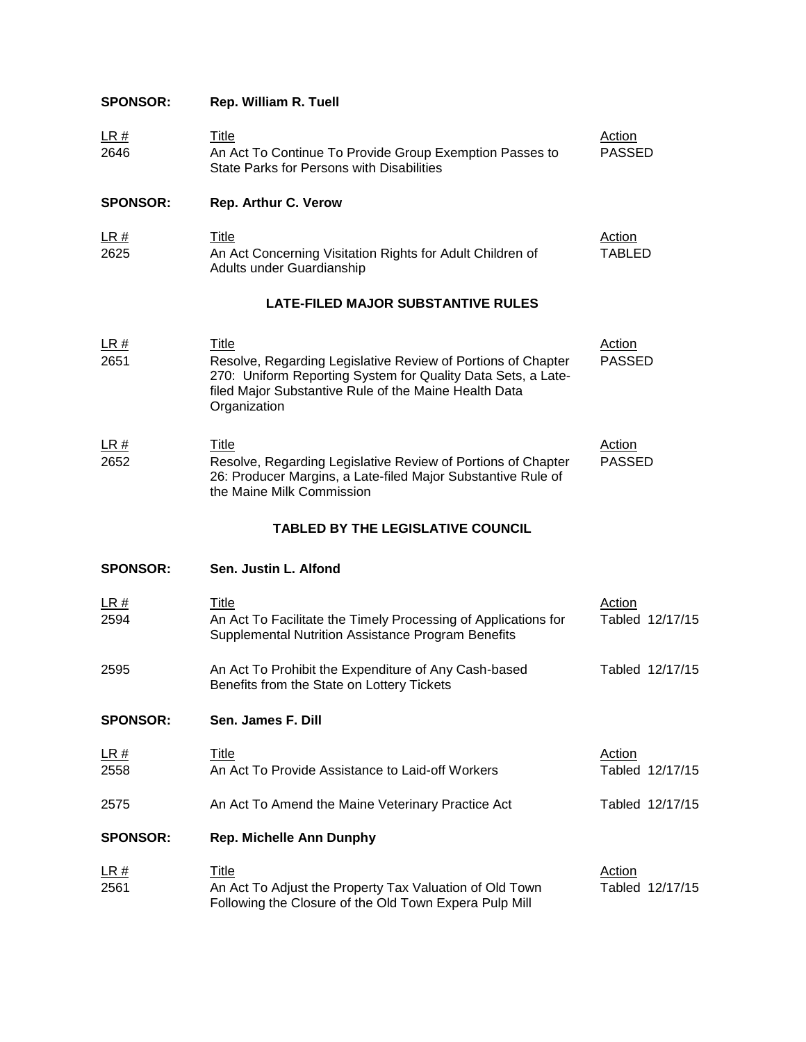## **SPONSOR: Rep. William R. Tuell**

| LR#<br>____ | ⊤itle                                                   | Action |
|-------------|---------------------------------------------------------|--------|
| 2646        | An Act To Continue To Provide Group Exemption Passes to | PASSED |
|             | State Parks for Persons with Disabilities               |        |

### **SPONSOR: Rep. Arthur C. Verow**

| LR#<br>$\sim$ $\sim$ $\sim$ $\sim$ | ⊤itle                                                     | Action |
|------------------------------------|-----------------------------------------------------------|--------|
| 2625                               | An Act Concerning Visitation Rights for Adult Children of | TABLED |
|                                    | Adults under Guardianship                                 |        |

#### **LATE-FILED MAJOR SUBSTANTIVE RULES**

| LR#         | Title                                                                                                                                                                                                 | Action                  |
|-------------|-------------------------------------------------------------------------------------------------------------------------------------------------------------------------------------------------------|-------------------------|
| 2651        | Resolve, Regarding Legislative Review of Portions of Chapter<br>270: Uniform Reporting System for Quality Data Sets, a Late-<br>filed Major Substantive Rule of the Maine Health Data<br>Organization | <b>PASSED</b>           |
| LR#<br>2652 | Title<br>Resolve, Regarding Legislative Review of Portions of Chapter                                                                                                                                 | Action<br><b>PASSED</b> |

| 2652 | Resolve, Regarding Legislative Review of Portions of Chapter | <b>PASSE</b> |
|------|--------------------------------------------------------------|--------------|
|      | 26: Producer Margins, a Late-filed Major Substantive Rule of |              |
|      | the Maine Milk Commission                                    |              |

### **TABLED BY THE LEGISLATIVE COUNCIL**

| <b>SPONSOR:</b> | Sen. Justin L. Alfond |
|-----------------|-----------------------|
|-----------------|-----------------------|

| LR#<br>2594     | Title<br>An Act To Facilitate the Timely Processing of Applications for<br>Supplemental Nutrition Assistance Program Benefits | Action | Tabled 12/17/15 |
|-----------------|-------------------------------------------------------------------------------------------------------------------------------|--------|-----------------|
| 2595            | An Act To Prohibit the Expenditure of Any Cash-based<br>Benefits from the State on Lottery Tickets                            |        | Tabled 12/17/15 |
| <b>SPONSOR:</b> | Sen. James F. Dill                                                                                                            |        |                 |
| LR#<br>2558     | Title<br>An Act To Provide Assistance to Laid-off Workers                                                                     | Action | Tabled 12/17/15 |
| 2575            | An Act To Amend the Maine Veterinary Practice Act                                                                             |        | Tabled 12/17/15 |
| <b>SPONSOR:</b> | <b>Rep. Michelle Ann Dunphy</b>                                                                                               |        |                 |
| LR#<br>2561     | Title<br>An Act To Adjust the Property Tax Valuation of Old Town<br>Following the Closure of the Old Town Expera Pulp Mill    | Action | Tabled 12/17/15 |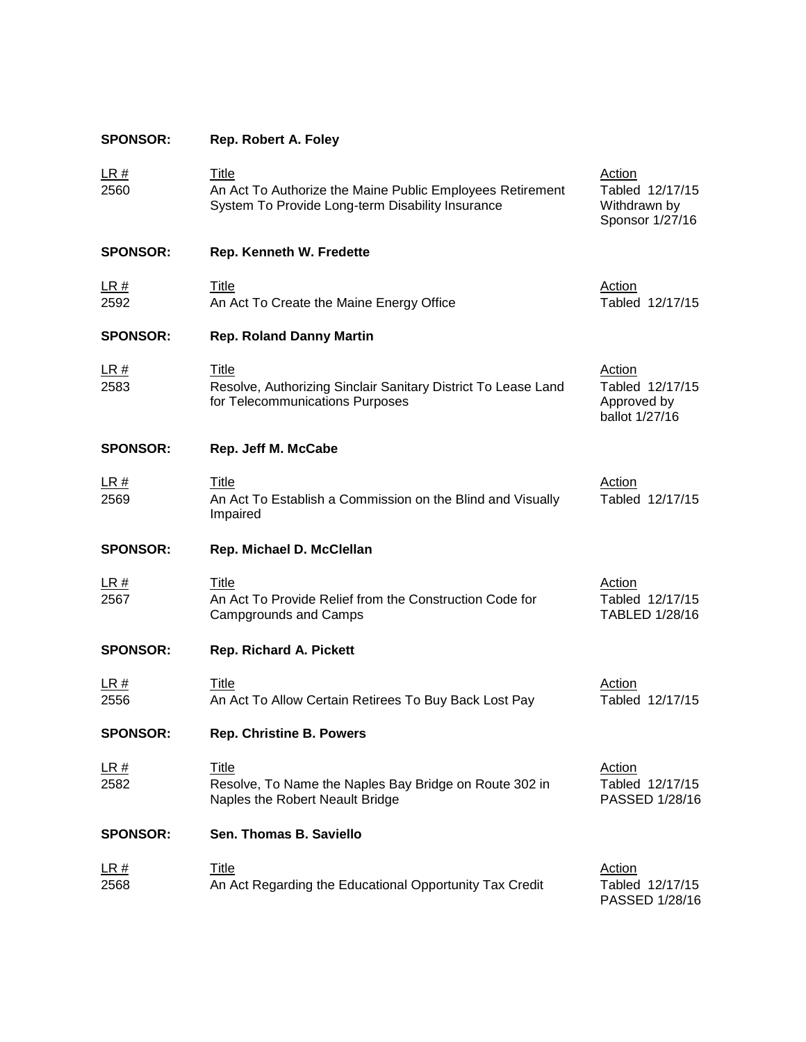| <b>SPONSOR:</b>     | Rep. Robert A. Foley                                                                                                          |                                                                   |
|---------------------|-------------------------------------------------------------------------------------------------------------------------------|-------------------------------------------------------------------|
| <u>LR #</u><br>2560 | <b>Title</b><br>An Act To Authorize the Maine Public Employees Retirement<br>System To Provide Long-term Disability Insurance | Action<br>Tabled 12/17/15<br>Withdrawn by<br>Sponsor 1/27/16      |
| <b>SPONSOR:</b>     | Rep. Kenneth W. Fredette                                                                                                      |                                                                   |
| <u>LR #</u><br>2592 | <b>Title</b><br>An Act To Create the Maine Energy Office                                                                      | Action<br>Tabled 12/17/15                                         |
| <b>SPONSOR:</b>     | <b>Rep. Roland Danny Martin</b>                                                                                               |                                                                   |
| <u>LR #</u><br>2583 | <b>Title</b><br>Resolve, Authorizing Sinclair Sanitary District To Lease Land<br>for Telecommunications Purposes              | <b>Action</b><br>Tabled 12/17/15<br>Approved by<br>ballot 1/27/16 |
| <b>SPONSOR:</b>     | Rep. Jeff M. McCabe                                                                                                           |                                                                   |
| <u>LR #</u><br>2569 | Title<br>An Act To Establish a Commission on the Blind and Visually<br>Impaired                                               | Action<br>Tabled 12/17/15                                         |
| <b>SPONSOR:</b>     | Rep. Michael D. McClellan                                                                                                     |                                                                   |
| <u>LR #</u><br>2567 | Title<br>An Act To Provide Relief from the Construction Code for<br>Campgrounds and Camps                                     | Action<br>Tabled 12/17/15<br>TABLED 1/28/16                       |
| <b>SPONSOR:</b>     | Rep. Richard A. Pickett                                                                                                       |                                                                   |
| <u>LR #</u><br>2556 | <b>Title</b><br>An Act To Allow Certain Retirees To Buy Back Lost Pay                                                         | <b>Action</b><br>Tabled 12/17/15                                  |
| <b>SPONSOR:</b>     | <b>Rep. Christine B. Powers</b>                                                                                               |                                                                   |
| <u>LR #</u><br>2582 | <b>Title</b><br>Resolve, To Name the Naples Bay Bridge on Route 302 in<br>Naples the Robert Neault Bridge                     | <b>Action</b><br>Tabled 12/17/15<br>PASSED 1/28/16                |
| <b>SPONSOR:</b>     | Sen. Thomas B. Saviello                                                                                                       |                                                                   |
| <u>LR #</u><br>2568 | <b>Title</b><br>An Act Regarding the Educational Opportunity Tax Credit                                                       | Action<br>Tabled 12/17/15<br>PASSED 1/28/16                       |